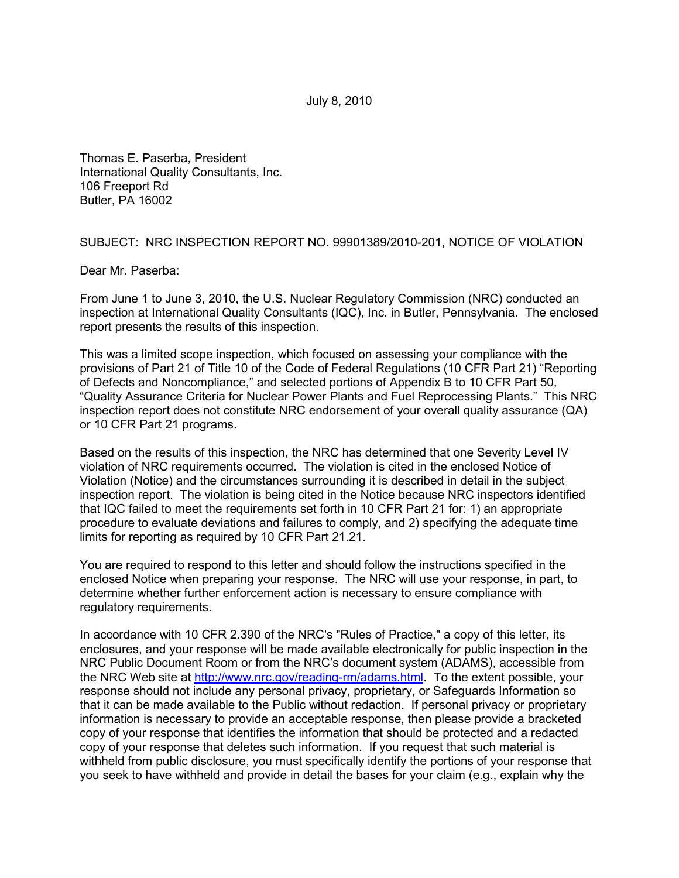July 8, 2010

Thomas E. Paserba, President International Quality Consultants, Inc. 106 Freeport Rd Butler, PA 16002

SUBJECT: NRC INSPECTION REPORT NO. 99901389/2010-201, NOTICE OF VIOLATION

Dear Mr. Paserba:

From June 1 to June 3, 2010, the U.S. Nuclear Regulatory Commission (NRC) conducted an inspection at International Quality Consultants (IQC), Inc. in Butler, Pennsylvania. The enclosed report presents the results of this inspection.

This was a limited scope inspection, which focused on assessing your compliance with the provisions of Part 21 of Title 10 of the Code of Federal Regulations (10 CFR Part 21) "Reporting of Defects and Noncompliance," and selected portions of Appendix B to 10 CFR Part 50, "Quality Assurance Criteria for Nuclear Power Plants and Fuel Reprocessing Plants." This NRC inspection report does not constitute NRC endorsement of your overall quality assurance (QA) or 10 CFR Part 21 programs.

Based on the results of this inspection, the NRC has determined that one Severity Level IV violation of NRC requirements occurred. The violation is cited in the enclosed Notice of Violation (Notice) and the circumstances surrounding it is described in detail in the subject inspection report. The violation is being cited in the Notice because NRC inspectors identified that IQC failed to meet the requirements set forth in 10 CFR Part 21 for: 1) an appropriate procedure to evaluate deviations and failures to comply, and 2) specifying the adequate time limits for reporting as required by 10 CFR Part 21.21.

You are required to respond to this letter and should follow the instructions specified in the enclosed Notice when preparing your response. The NRC will use your response, in part, to determine whether further enforcement action is necessary to ensure compliance with regulatory requirements.

In accordance with 10 CFR 2.390 of the NRC's "Rules of Practice," a copy of this letter, its enclosures, and your response will be made available electronically for public inspection in the NRC Public Document Room or from the NRC's document system (ADAMS), accessible from the NRC Web site at http://www.nrc.gov/reading-rm/adams.html. To the extent possible, your response should not include any personal privacy, proprietary, or Safeguards Information so that it can be made available to the Public without redaction. If personal privacy or proprietary information is necessary to provide an acceptable response, then please provide a bracketed copy of your response that identifies the information that should be protected and a redacted copy of your response that deletes such information. If you request that such material is withheld from public disclosure, you must specifically identify the portions of your response that you seek to have withheld and provide in detail the bases for your claim (e.g., explain why the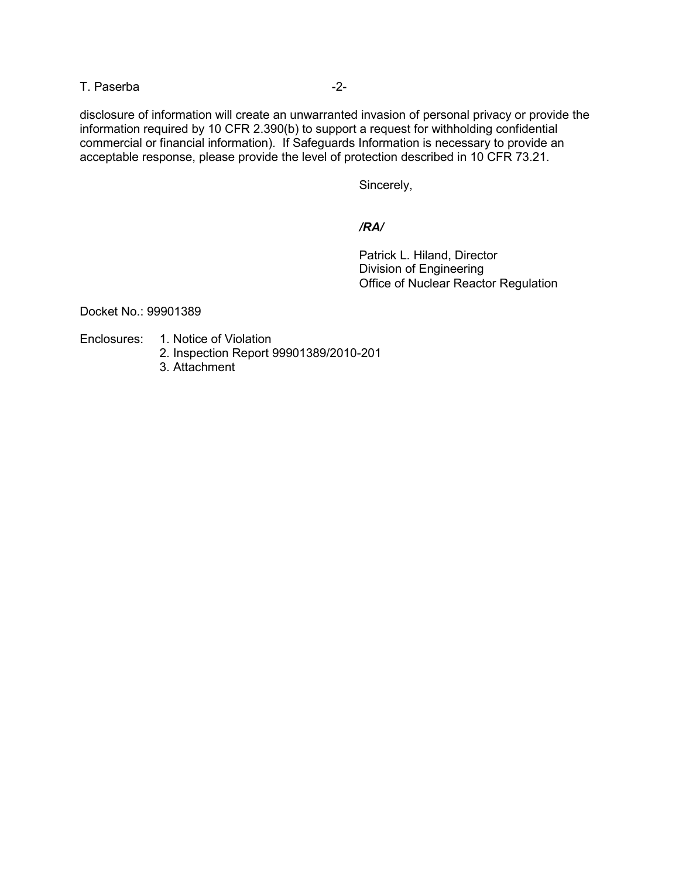T. Paserba  $-2$ -

disclosure of information will create an unwarranted invasion of personal privacy or provide the information required by 10 CFR 2.390(b) to support a request for withholding confidential commercial or financial information). If Safeguards Information is necessary to provide an acceptable response, please provide the level of protection described in 10 CFR 73.21.

Sincerely,

#### */RA/*

 Patrick L. Hiland, Director Division of Engineering Office of Nuclear Reactor Regulation

Docket No.: 99901389

- Enclosures: 1. Notice of Violation
	- 2. Inspection Report 99901389/2010-201
	- 3. Attachment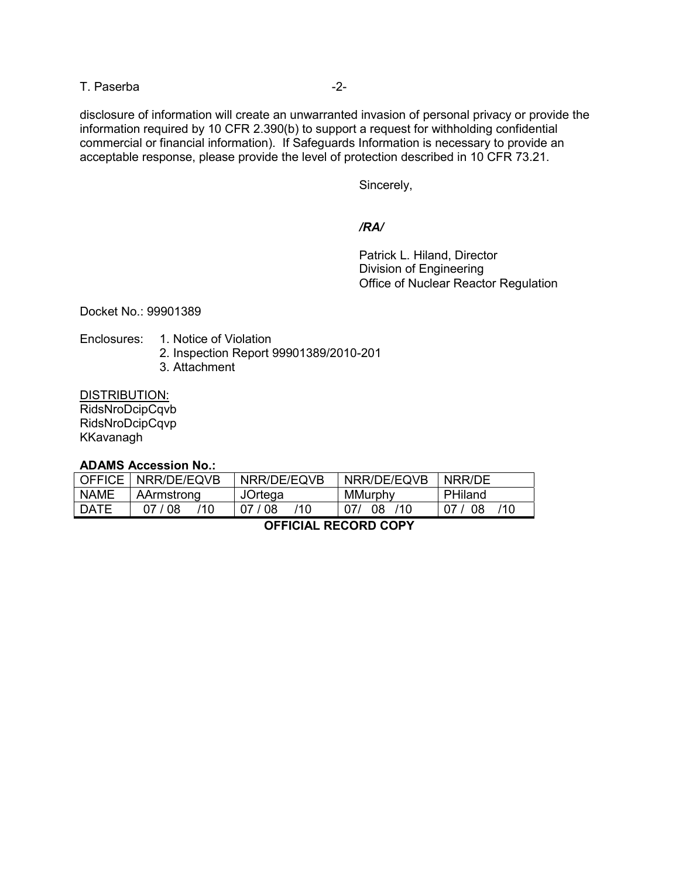T. Paserba  $-2$ -

disclosure of information will create an unwarranted invasion of personal privacy or provide the information required by 10 CFR 2.390(b) to support a request for withholding confidential commercial or financial information). If Safeguards Information is necessary to provide an acceptable response, please provide the level of protection described in 10 CFR 73.21.

Sincerely,

### */RA/*

 Patrick L. Hiland, Director Division of Engineering Office of Nuclear Reactor Regulation

Docket No.: 99901389

- Enclosures: 1. Notice of Violation
	- 2. Inspection Report 99901389/2010-201
	- 3. Attachment

DISTRIBUTION: RidsNroDcipCqvb

RidsNroDcipCqvp KKavanagh

**ADAMS Accession No.:** 

| <b>OFFICE</b> I | NRR/DE/EQVB    | NRR/DE/EQVB    | NRR/DE/EQVB | NRR/DF    |
|-----------------|----------------|----------------|-------------|-----------|
| NAME            | AArmstrong     | JOrtega        | MMurphy     | PHiland   |
| <b>DATE</b>     | 110<br>07 / 08 | 110<br>07 / 08 | 110<br>08.  | /10<br>08 |

# **OFFICIAL RECORD COPY**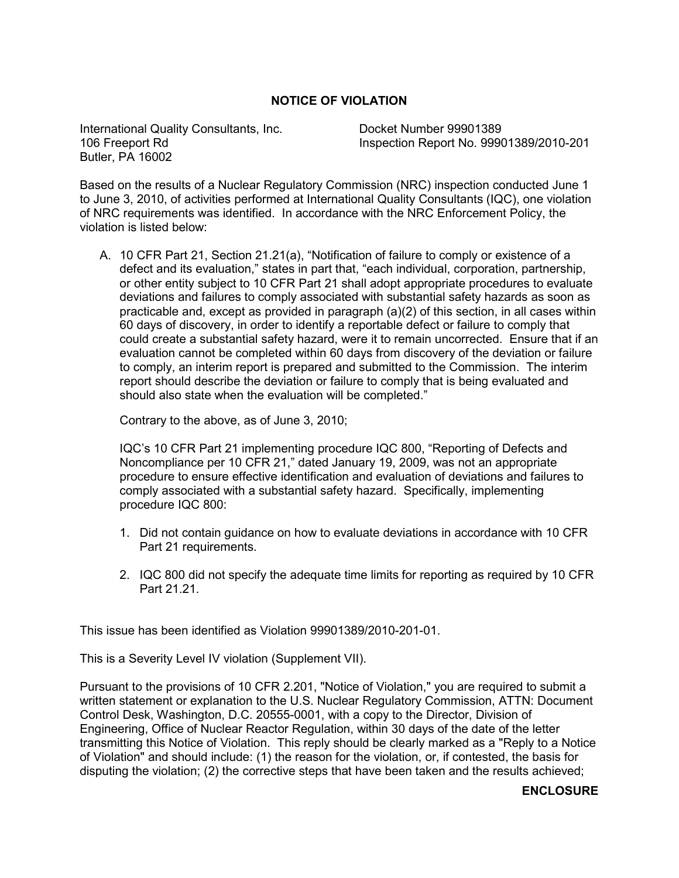# **NOTICE OF VIOLATION**

International Quality Consultants, Inc. Docket Number 99901389 Butler, PA 16002

106 Freeport Rd Inspection Report No. 99901389/2010-201

Based on the results of a Nuclear Regulatory Commission (NRC) inspection conducted June 1 to June 3, 2010, of activities performed at International Quality Consultants (IQC), one violation of NRC requirements was identified. In accordance with the NRC Enforcement Policy, the violation is listed below:

A. 10 CFR Part 21, Section 21.21(a), "Notification of failure to comply or existence of a defect and its evaluation," states in part that, "each individual, corporation, partnership, or other entity subject to 10 CFR Part 21 shall adopt appropriate procedures to evaluate deviations and failures to comply associated with substantial safety hazards as soon as practicable and, except as provided in paragraph (a)(2) of this section, in all cases within 60 days of discovery, in order to identify a reportable defect or failure to comply that could create a substantial safety hazard, were it to remain uncorrected. Ensure that if an evaluation cannot be completed within 60 days from discovery of the deviation or failure to comply, an interim report is prepared and submitted to the Commission. The interim report should describe the deviation or failure to comply that is being evaluated and should also state when the evaluation will be completed."

Contrary to the above, as of June 3, 2010;

IQC's 10 CFR Part 21 implementing procedure IQC 800, "Reporting of Defects and Noncompliance per 10 CFR 21," dated January 19, 2009, was not an appropriate procedure to ensure effective identification and evaluation of deviations and failures to comply associated with a substantial safety hazard. Specifically, implementing procedure IQC 800:

- 1. Did not contain guidance on how to evaluate deviations in accordance with 10 CFR Part 21 requirements.
- 2. IQC 800 did not specify the adequate time limits for reporting as required by 10 CFR Part 21.21.

This issue has been identified as Violation 99901389/2010-201-01.

This is a Severity Level IV violation (Supplement VII).

Pursuant to the provisions of 10 CFR 2.201, "Notice of Violation," you are required to submit a written statement or explanation to the U.S. Nuclear Regulatory Commission, ATTN: Document Control Desk, Washington, D.C. 20555-0001, with a copy to the Director, Division of Engineering, Office of Nuclear Reactor Regulation, within 30 days of the date of the letter transmitting this Notice of Violation. This reply should be clearly marked as a "Reply to a Notice of Violation" and should include: (1) the reason for the violation, or, if contested, the basis for disputing the violation; (2) the corrective steps that have been taken and the results achieved;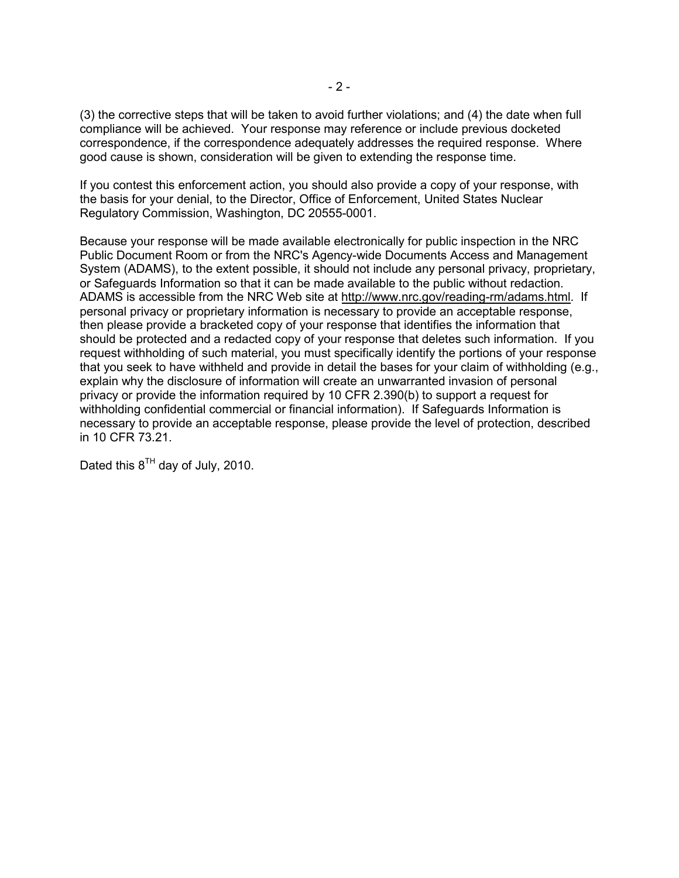(3) the corrective steps that will be taken to avoid further violations; and (4) the date when full compliance will be achieved. Your response may reference or include previous docketed correspondence, if the correspondence adequately addresses the required response. Where good cause is shown, consideration will be given to extending the response time.

If you contest this enforcement action, you should also provide a copy of your response, with the basis for your denial, to the Director, Office of Enforcement, United States Nuclear Regulatory Commission, Washington, DC 20555-0001.

Because your response will be made available electronically for public inspection in the NRC Public Document Room or from the NRC's Agency-wide Documents Access and Management System (ADAMS), to the extent possible, it should not include any personal privacy, proprietary, or Safeguards Information so that it can be made available to the public without redaction. ADAMS is accessible from the NRC Web site at http://www.nrc.gov/reading-rm/adams.html. If personal privacy or proprietary information is necessary to provide an acceptable response, then please provide a bracketed copy of your response that identifies the information that should be protected and a redacted copy of your response that deletes such information. If you request withholding of such material, you must specifically identify the portions of your response that you seek to have withheld and provide in detail the bases for your claim of withholding (e.g., explain why the disclosure of information will create an unwarranted invasion of personal privacy or provide the information required by 10 CFR 2.390(b) to support a request for withholding confidential commercial or financial information). If Safeguards Information is necessary to provide an acceptable response, please provide the level of protection, described in 10 CFR 73.21.

Dated this  $8^{TH}$  day of July, 2010.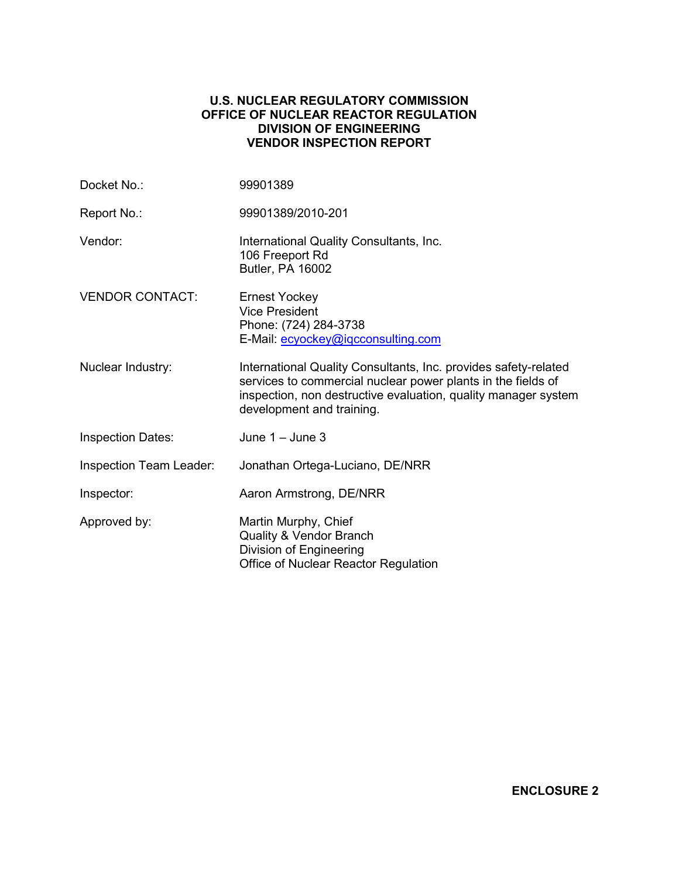# **U.S. NUCLEAR REGULATORY COMMISSION OFFICE OF NUCLEAR REACTOR REGULATION DIVISION OF ENGINEERING VENDOR INSPECTION REPORT**

| Docket No.:              | 99901389                                                                                                                                                                                                                       |
|--------------------------|--------------------------------------------------------------------------------------------------------------------------------------------------------------------------------------------------------------------------------|
| Report No.:              | 99901389/2010-201                                                                                                                                                                                                              |
| Vendor:                  | International Quality Consultants, Inc.<br>106 Freeport Rd<br>Butler, PA 16002                                                                                                                                                 |
| <b>VENDOR CONTACT:</b>   | <b>Ernest Yockey</b><br><b>Vice President</b><br>Phone: (724) 284-3738<br>E-Mail: ecyockey@igcconsulting.com                                                                                                                   |
| Nuclear Industry:        | International Quality Consultants, Inc. provides safety-related<br>services to commercial nuclear power plants in the fields of<br>inspection, non destructive evaluation, quality manager system<br>development and training. |
| <b>Inspection Dates:</b> | June $1 -$ June 3                                                                                                                                                                                                              |
| Inspection Team Leader:  | Jonathan Ortega-Luciano, DE/NRR                                                                                                                                                                                                |
| Inspector:               | Aaron Armstrong, DE/NRR                                                                                                                                                                                                        |
| Approved by:             | Martin Murphy, Chief<br><b>Quality &amp; Vendor Branch</b><br>Division of Engineering<br>Office of Nuclear Reactor Regulation                                                                                                  |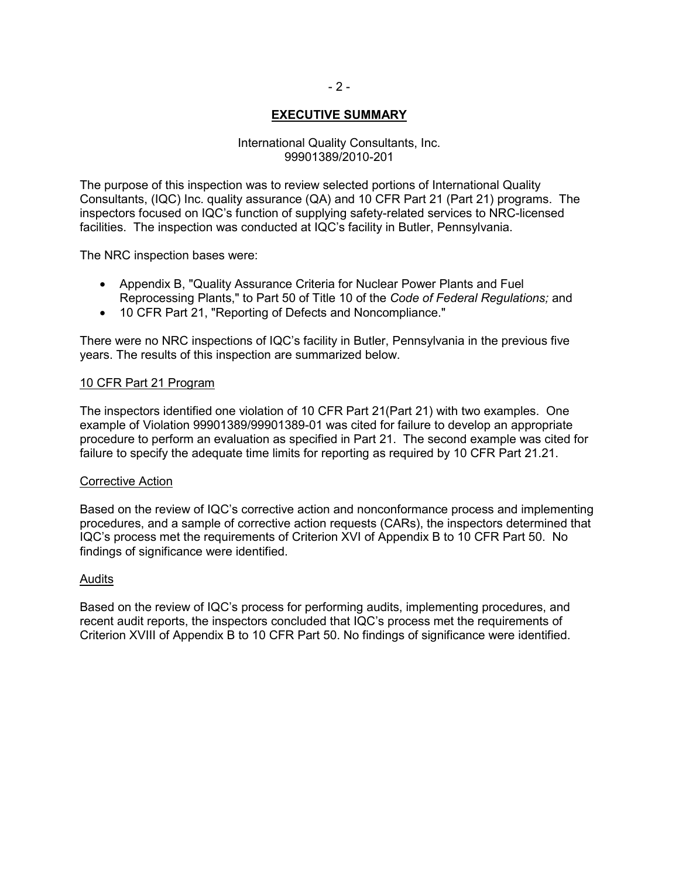# **EXECUTIVE SUMMARY**

#### International Quality Consultants, Inc. 99901389/2010-201

The purpose of this inspection was to review selected portions of International Quality Consultants, (IQC) Inc. quality assurance (QA) and 10 CFR Part 21 (Part 21) programs. The inspectors focused on IQC's function of supplying safety-related services to NRC-licensed facilities. The inspection was conducted at IQC's facility in Butler, Pennsylvania.

The NRC inspection bases were:

- Appendix B, "Quality Assurance Criteria for Nuclear Power Plants and Fuel Reprocessing Plants," to Part 50 of Title 10 of the *Code of Federal Regulations;* and
- 10 CFR Part 21, "Reporting of Defects and Noncompliance."

There were no NRC inspections of IQC's facility in Butler, Pennsylvania in the previous five years. The results of this inspection are summarized below.

#### 10 CFR Part 21 Program

The inspectors identified one violation of 10 CFR Part 21(Part 21) with two examples. One example of Violation 99901389/99901389-01 was cited for failure to develop an appropriate procedure to perform an evaluation as specified in Part 21. The second example was cited for failure to specify the adequate time limits for reporting as required by 10 CFR Part 21.21.

#### Corrective Action

Based on the review of IQC's corrective action and nonconformance process and implementing procedures, and a sample of corrective action requests (CARs), the inspectors determined that IQC's process met the requirements of Criterion XVI of Appendix B to 10 CFR Part 50. No findings of significance were identified.

#### Audits

Based on the review of IQC's process for performing audits, implementing procedures, and recent audit reports, the inspectors concluded that IQC's process met the requirements of Criterion XVIII of Appendix B to 10 CFR Part 50. No findings of significance were identified.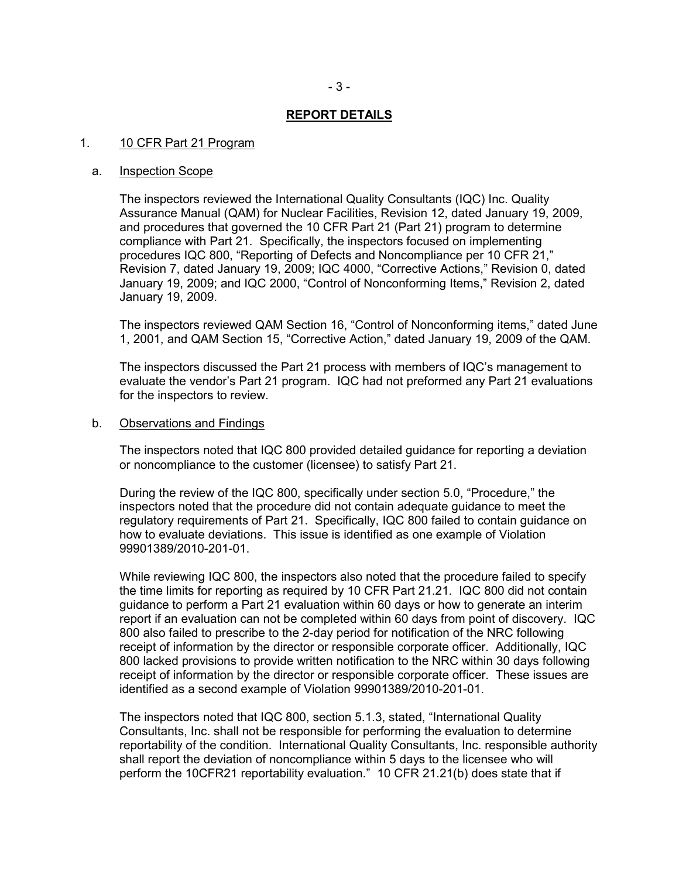#### **REPORT DETAILS**

#### 1. 10 CFR Part 21 Program

#### a. Inspection Scope

The inspectors reviewed the International Quality Consultants (IQC) Inc. Quality Assurance Manual (QAM) for Nuclear Facilities, Revision 12, dated January 19, 2009, and procedures that governed the 10 CFR Part 21 (Part 21) program to determine compliance with Part 21. Specifically, the inspectors focused on implementing procedures IQC 800, "Reporting of Defects and Noncompliance per 10 CFR 21," Revision 7, dated January 19, 2009; IQC 4000, "Corrective Actions," Revision 0, dated January 19, 2009; and IQC 2000, "Control of Nonconforming Items," Revision 2, dated January 19, 2009.

The inspectors reviewed QAM Section 16, "Control of Nonconforming items," dated June 1, 2001, and QAM Section 15, "Corrective Action," dated January 19, 2009 of the QAM.

The inspectors discussed the Part 21 process with members of IQC's management to evaluate the vendor's Part 21 program. IQC had not preformed any Part 21 evaluations for the inspectors to review.

#### b. Observations and Findings

The inspectors noted that IQC 800 provided detailed guidance for reporting a deviation or noncompliance to the customer (licensee) to satisfy Part 21.

During the review of the IQC 800, specifically under section 5.0, "Procedure," the inspectors noted that the procedure did not contain adequate guidance to meet the regulatory requirements of Part 21. Specifically, IQC 800 failed to contain guidance on how to evaluate deviations. This issue is identified as one example of Violation 99901389/2010-201-01.

While reviewing IQC 800, the inspectors also noted that the procedure failed to specify the time limits for reporting as required by 10 CFR Part 21.21. IQC 800 did not contain guidance to perform a Part 21 evaluation within 60 days or how to generate an interim report if an evaluation can not be completed within 60 days from point of discovery. IQC 800 also failed to prescribe to the 2-day period for notification of the NRC following receipt of information by the director or responsible corporate officer. Additionally, IQC 800 lacked provisions to provide written notification to the NRC within 30 days following receipt of information by the director or responsible corporate officer. These issues are identified as a second example of Violation 99901389/2010-201-01.

The inspectors noted that IQC 800, section 5.1.3, stated, "International Quality Consultants, Inc. shall not be responsible for performing the evaluation to determine reportability of the condition. International Quality Consultants, Inc. responsible authority shall report the deviation of noncompliance within 5 days to the licensee who will perform the 10CFR21 reportability evaluation." 10 CFR 21.21(b) does state that if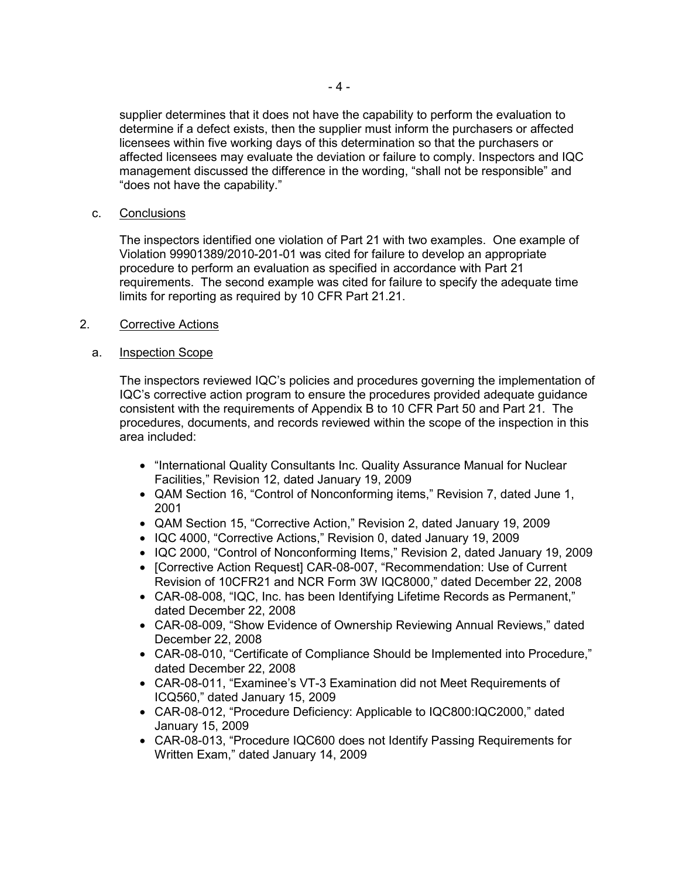supplier determines that it does not have the capability to perform the evaluation to determine if a defect exists, then the supplier must inform the purchasers or affected licensees within five working days of this determination so that the purchasers or affected licensees may evaluate the deviation or failure to comply. Inspectors and IQC management discussed the difference in the wording, "shall not be responsible" and "does not have the capability."

c. Conclusions

The inspectors identified one violation of Part 21 with two examples. One example of Violation 99901389/2010-201-01 was cited for failure to develop an appropriate procedure to perform an evaluation as specified in accordance with Part 21 requirements. The second example was cited for failure to specify the adequate time limits for reporting as required by 10 CFR Part 21.21.

2. Corrective Actions

# a. **Inspection Scope**

The inspectors reviewed IQC's policies and procedures governing the implementation of IQC's corrective action program to ensure the procedures provided adequate guidance consistent with the requirements of Appendix B to 10 CFR Part 50 and Part 21. The procedures, documents, and records reviewed within the scope of the inspection in this area included:

- "International Quality Consultants Inc. Quality Assurance Manual for Nuclear Facilities," Revision 12, dated January 19, 2009
- QAM Section 16, "Control of Nonconforming items," Revision 7, dated June 1, 2001
- QAM Section 15, "Corrective Action," Revision 2, dated January 19, 2009
- IQC 4000, "Corrective Actions," Revision 0, dated January 19, 2009
- IQC 2000, "Control of Nonconforming Items," Revision 2, dated January 19, 2009
- [Corrective Action Request] CAR-08-007, "Recommendation: Use of Current Revision of 10CFR21 and NCR Form 3W IQC8000," dated December 22, 2008
- CAR-08-008, "IQC, Inc. has been Identifying Lifetime Records as Permanent," dated December 22, 2008
- CAR-08-009, "Show Evidence of Ownership Reviewing Annual Reviews," dated December 22, 2008
- CAR-08-010, "Certificate of Compliance Should be Implemented into Procedure," dated December 22, 2008
- CAR-08-011, "Examinee's VT-3 Examination did not Meet Requirements of ICQ560," dated January 15, 2009
- CAR-08-012, "Procedure Deficiency: Applicable to IQC800:IQC2000," dated January 15, 2009
- CAR-08-013, "Procedure IQC600 does not Identify Passing Requirements for Written Exam," dated January 14, 2009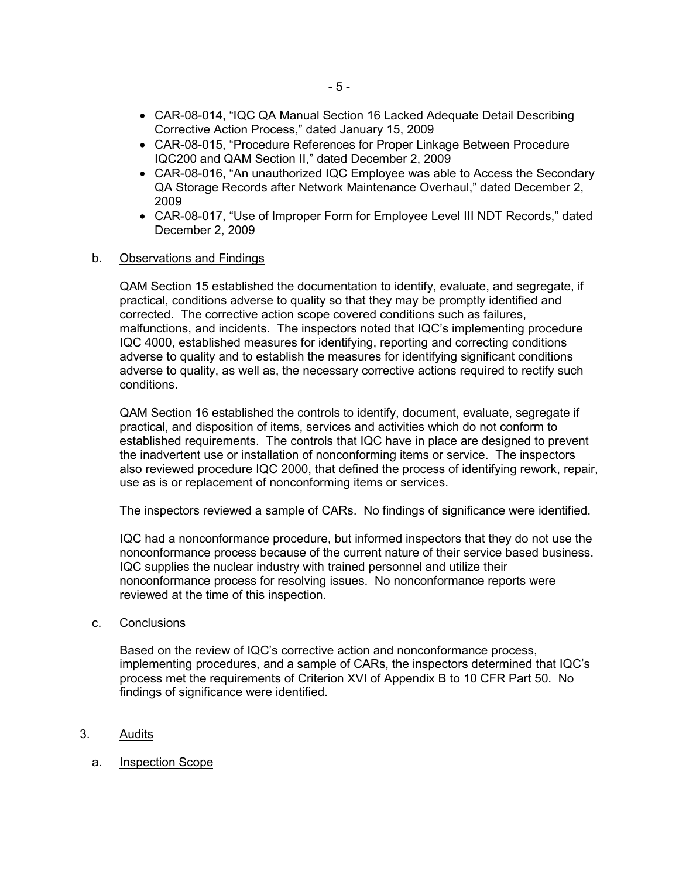- CAR-08-014, "IQC QA Manual Section 16 Lacked Adequate Detail Describing Corrective Action Process," dated January 15, 2009
- CAR-08-015, "Procedure References for Proper Linkage Between Procedure IQC200 and QAM Section II," dated December 2, 2009
- CAR-08-016, "An unauthorized IQC Employee was able to Access the Secondary QA Storage Records after Network Maintenance Overhaul," dated December 2, 2009
- CAR-08-017, "Use of Improper Form for Employee Level III NDT Records," dated December 2, 2009
- b. Observations and Findings

QAM Section 15 established the documentation to identify, evaluate, and segregate, if practical, conditions adverse to quality so that they may be promptly identified and corrected. The corrective action scope covered conditions such as failures, malfunctions, and incidents. The inspectors noted that IQC's implementing procedure IQC 4000, established measures for identifying, reporting and correcting conditions adverse to quality and to establish the measures for identifying significant conditions adverse to quality, as well as, the necessary corrective actions required to rectify such conditions.

QAM Section 16 established the controls to identify, document, evaluate, segregate if practical, and disposition of items, services and activities which do not conform to established requirements. The controls that IQC have in place are designed to prevent the inadvertent use or installation of nonconforming items or service. The inspectors also reviewed procedure IQC 2000, that defined the process of identifying rework, repair, use as is or replacement of nonconforming items or services.

The inspectors reviewed a sample of CARs. No findings of significance were identified.

IQC had a nonconformance procedure, but informed inspectors that they do not use the nonconformance process because of the current nature of their service based business. IQC supplies the nuclear industry with trained personnel and utilize their nonconformance process for resolving issues. No nonconformance reports were reviewed at the time of this inspection.

c. Conclusions

Based on the review of IQC's corrective action and nonconformance process, implementing procedures, and a sample of CARs, the inspectors determined that IQC's process met the requirements of Criterion XVI of Appendix B to 10 CFR Part 50. No findings of significance were identified.

- 3. Audits
	- a. Inspection Scope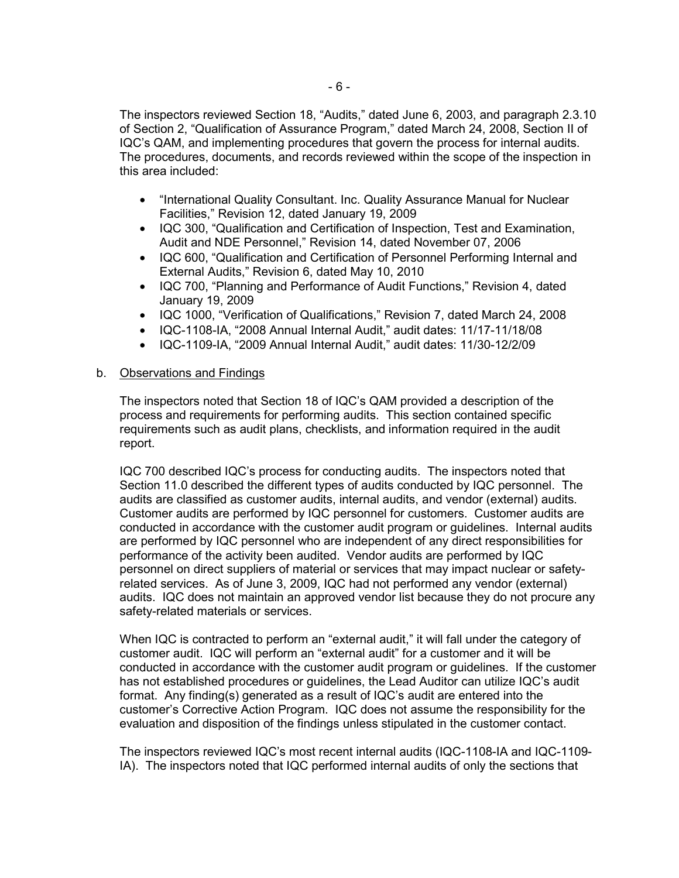The inspectors reviewed Section 18, "Audits," dated June 6, 2003, and paragraph 2.3.10 of Section 2, "Qualification of Assurance Program," dated March 24, 2008, Section II of IQC's QAM, and implementing procedures that govern the process for internal audits. The procedures, documents, and records reviewed within the scope of the inspection in this area included:

- "International Quality Consultant. Inc. Quality Assurance Manual for Nuclear Facilities," Revision 12, dated January 19, 2009
- IQC 300, "Qualification and Certification of Inspection, Test and Examination, Audit and NDE Personnel," Revision 14, dated November 07, 2006
- IQC 600, "Qualification and Certification of Personnel Performing Internal and External Audits," Revision 6, dated May 10, 2010
- IQC 700, "Planning and Performance of Audit Functions," Revision 4, dated January 19, 2009
- IQC 1000, "Verification of Qualifications," Revision 7, dated March 24, 2008
- IQC-1108-IA, "2008 Annual Internal Audit," audit dates: 11/17-11/18/08
- IQC-1109-IA, "2009 Annual Internal Audit," audit dates: 11/30-12/2/09

# b. Observations and Findings

The inspectors noted that Section 18 of IQC's QAM provided a description of the process and requirements for performing audits. This section contained specific requirements such as audit plans, checklists, and information required in the audit report.

IQC 700 described IQC's process for conducting audits. The inspectors noted that Section 11.0 described the different types of audits conducted by IQC personnel. The audits are classified as customer audits, internal audits, and vendor (external) audits. Customer audits are performed by IQC personnel for customers. Customer audits are conducted in accordance with the customer audit program or guidelines. Internal audits are performed by IQC personnel who are independent of any direct responsibilities for performance of the activity been audited. Vendor audits are performed by IQC personnel on direct suppliers of material or services that may impact nuclear or safetyrelated services. As of June 3, 2009, IQC had not performed any vendor (external) audits. IQC does not maintain an approved vendor list because they do not procure any safety-related materials or services.

When IQC is contracted to perform an "external audit," it will fall under the category of customer audit. IQC will perform an "external audit" for a customer and it will be conducted in accordance with the customer audit program or guidelines. If the customer has not established procedures or guidelines, the Lead Auditor can utilize IQC's audit format. Any finding(s) generated as a result of IQC's audit are entered into the customer's Corrective Action Program. IQC does not assume the responsibility for the evaluation and disposition of the findings unless stipulated in the customer contact.

The inspectors reviewed IQC's most recent internal audits (IQC-1108-IA and IQC-1109- IA). The inspectors noted that IQC performed internal audits of only the sections that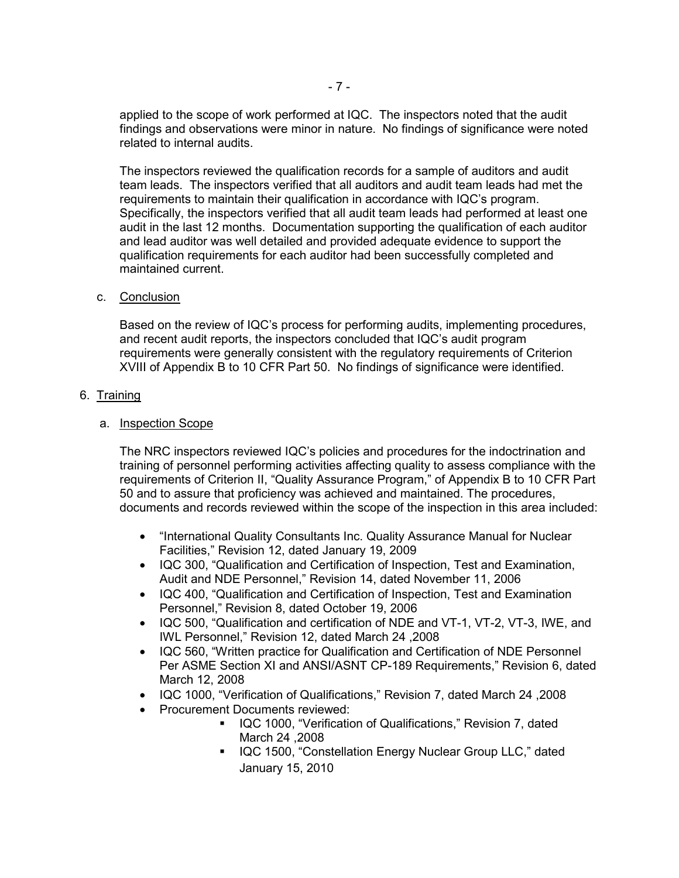applied to the scope of work performed at IQC. The inspectors noted that the audit findings and observations were minor in nature. No findings of significance were noted related to internal audits.

The inspectors reviewed the qualification records for a sample of auditors and audit team leads. The inspectors verified that all auditors and audit team leads had met the requirements to maintain their qualification in accordance with IQC's program. Specifically, the inspectors verified that all audit team leads had performed at least one audit in the last 12 months. Documentation supporting the qualification of each auditor and lead auditor was well detailed and provided adequate evidence to support the qualification requirements for each auditor had been successfully completed and maintained current.

# c. Conclusion

Based on the review of IQC's process for performing audits, implementing procedures, and recent audit reports, the inspectors concluded that IQC's audit program requirements were generally consistent with the regulatory requirements of Criterion XVIII of Appendix B to 10 CFR Part 50. No findings of significance were identified.

# 6. Training

# a. Inspection Scope

The NRC inspectors reviewed IQC's policies and procedures for the indoctrination and training of personnel performing activities affecting quality to assess compliance with the requirements of Criterion II, "Quality Assurance Program," of Appendix B to 10 CFR Part 50 and to assure that proficiency was achieved and maintained. The procedures, documents and records reviewed within the scope of the inspection in this area included:

- "International Quality Consultants Inc. Quality Assurance Manual for Nuclear Facilities," Revision 12, dated January 19, 2009
- IQC 300, "Qualification and Certification of Inspection, Test and Examination, Audit and NDE Personnel," Revision 14, dated November 11, 2006
- IQC 400, "Qualification and Certification of Inspection, Test and Examination Personnel," Revision 8, dated October 19, 2006
- IQC 500, "Qualification and certification of NDE and VT-1, VT-2, VT-3, IWE, and IWL Personnel," Revision 12, dated March 24 ,2008
- IQC 560, "Written practice for Qualification and Certification of NDE Personnel Per ASME Section XI and ANSI/ASNT CP-189 Requirements," Revision 6, dated March 12, 2008
- IQC 1000, "Verification of Qualifications," Revision 7, dated March 24 ,2008
- Procurement Documents reviewed:
	- IQC 1000, "Verification of Qualifications," Revision 7, dated March 24 ,2008
	- **IQC 1500, "Constellation Energy Nuclear Group LLC," dated** January 15, 2010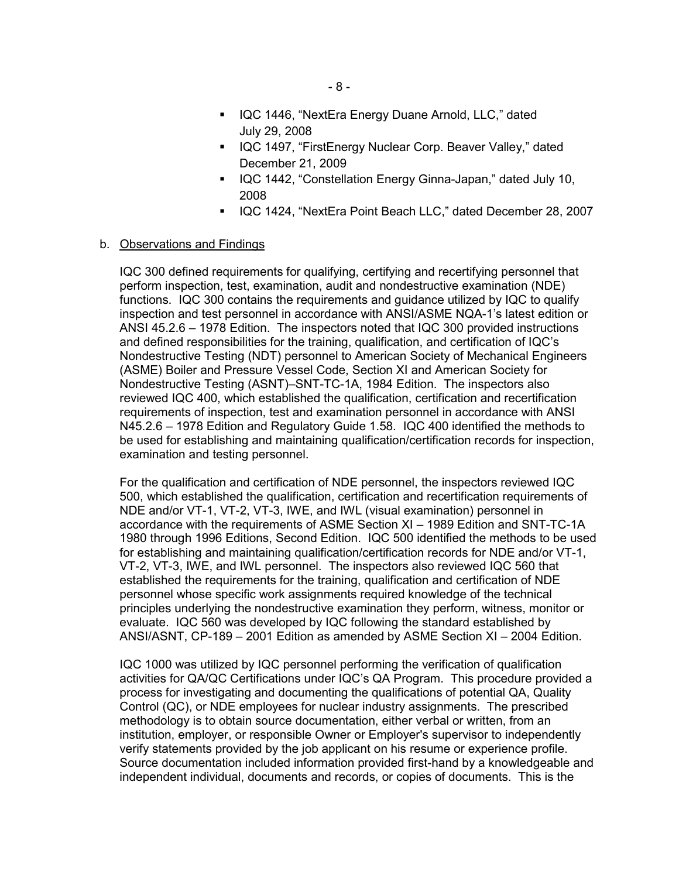- **IQC 1446, "NextEra Energy Duane Arnold, LLC," dated** July 29, 2008
- **IQC 1497, "FirstEnergy Nuclear Corp. Beaver Valley," dated** December 21, 2009
- IQC 1442, "Constellation Energy Ginna-Japan," dated July 10, 2008
- **IQC 1424, "NextEra Point Beach LLC," dated December 28, 2007**

#### b. Observations and Findings

IQC 300 defined requirements for qualifying, certifying and recertifying personnel that perform inspection, test, examination, audit and nondestructive examination (NDE) functions. IQC 300 contains the requirements and guidance utilized by IQC to qualify inspection and test personnel in accordance with ANSI/ASME NQA-1's latest edition or ANSI 45.2.6 – 1978 Edition. The inspectors noted that IQC 300 provided instructions and defined responsibilities for the training, qualification, and certification of IQC's Nondestructive Testing (NDT) personnel to American Society of Mechanical Engineers (ASME) Boiler and Pressure Vessel Code, Section XI and American Society for Nondestructive Testing (ASNT)–SNT-TC-1A, 1984 Edition. The inspectors also reviewed IQC 400, which established the qualification, certification and recertification requirements of inspection, test and examination personnel in accordance with ANSI N45.2.6 – 1978 Edition and Regulatory Guide 1.58. IQC 400 identified the methods to be used for establishing and maintaining qualification/certification records for inspection, examination and testing personnel.

For the qualification and certification of NDE personnel, the inspectors reviewed IQC 500, which established the qualification, certification and recertification requirements of NDE and/or VT-1, VT-2, VT-3, IWE, and IWL (visual examination) personnel in accordance with the requirements of ASME Section XI – 1989 Edition and SNT-TC-1A 1980 through 1996 Editions, Second Edition. IQC 500 identified the methods to be used for establishing and maintaining qualification/certification records for NDE and/or VT-1, VT-2, VT-3, IWE, and IWL personnel. The inspectors also reviewed IQC 560 that established the requirements for the training, qualification and certification of NDE personnel whose specific work assignments required knowledge of the technical principles underlying the nondestructive examination they perform, witness, monitor or evaluate. IQC 560 was developed by IQC following the standard established by ANSI/ASNT, CP-189 – 2001 Edition as amended by ASME Section XI – 2004 Edition.

IQC 1000 was utilized by IQC personnel performing the verification of qualification activities for QA/QC Certifications under IQC's QA Program. This procedure provided a process for investigating and documenting the qualifications of potential QA, Quality Control (QC), or NDE employees for nuclear industry assignments. The prescribed methodology is to obtain source documentation, either verbal or written, from an institution, employer, or responsible Owner or Employer's supervisor to independently verify statements provided by the job applicant on his resume or experience profile. Source documentation included information provided first-hand by a knowledgeable and independent individual, documents and records, or copies of documents. This is the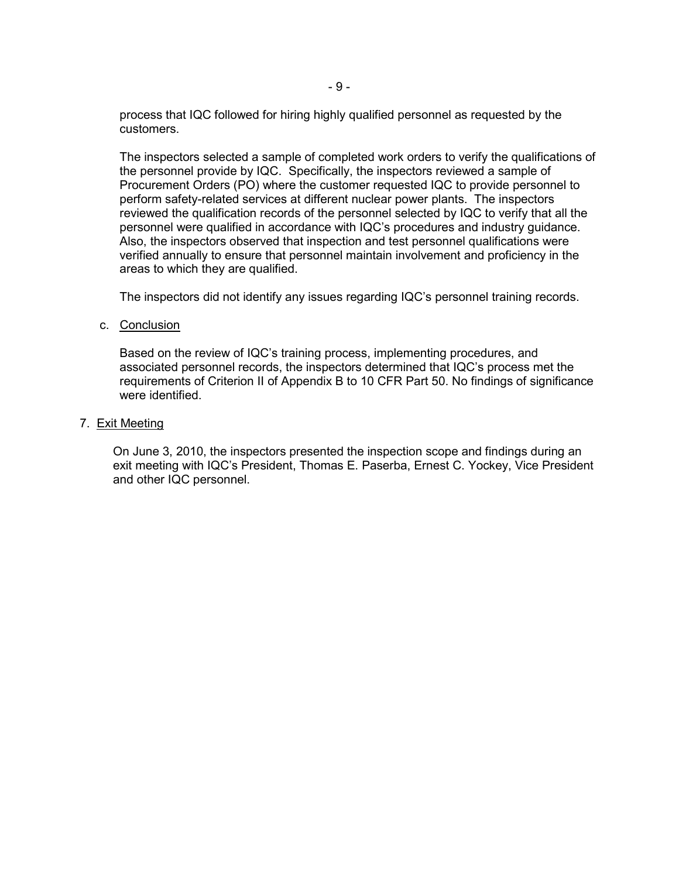process that IQC followed for hiring highly qualified personnel as requested by the customers.

The inspectors selected a sample of completed work orders to verify the qualifications of the personnel provide by IQC. Specifically, the inspectors reviewed a sample of Procurement Orders (PO) where the customer requested IQC to provide personnel to perform safety-related services at different nuclear power plants. The inspectors reviewed the qualification records of the personnel selected by IQC to verify that all the personnel were qualified in accordance with IQC's procedures and industry guidance. Also, the inspectors observed that inspection and test personnel qualifications were verified annually to ensure that personnel maintain involvement and proficiency in the areas to which they are qualified.

The inspectors did not identify any issues regarding IQC's personnel training records.

c. Conclusion

Based on the review of IQC's training process, implementing procedures, and associated personnel records, the inspectors determined that IQC's process met the requirements of Criterion II of Appendix B to 10 CFR Part 50. No findings of significance were identified.

# 7. Exit Meeting

On June 3, 2010, the inspectors presented the inspection scope and findings during an exit meeting with IQC's President, Thomas E. Paserba, Ernest C. Yockey, Vice President and other IQC personnel.